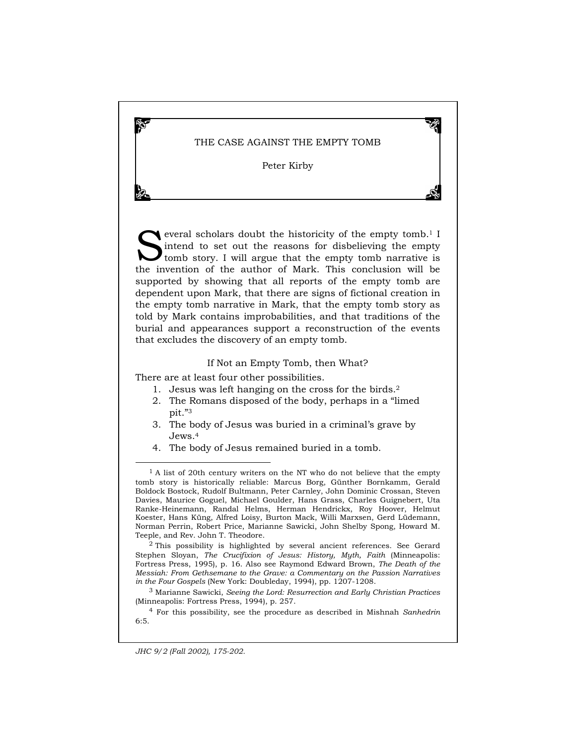# THE CASE AGAINST THE EMPTY TOMB

Peter Kirby

Ð.

Several scholars doubt the historicity of the empty tomb.<sup>1</sup> I intend to set out the reasons for disbelieving the empty tomb narrative is the invention of the exiting of Mark This conclusion will be intend to set out the reasons for disbelieving the empty the invention of the author of Mark. This conclusion will be supported by showing that all reports of the empty tomb are dependent upon Mark, that there are signs of fictional creation in the empty tomb narrative in Mark, that the empty tomb story as told by Mark contains improbabilities, and that traditions of the burial and appearances support a reconstruction of the events that excludes the discovery of an empty tomb.

# If Not an Empty Tomb, then What?

There are at least four other possibilities.

- 1. Jesus was left hanging on the cross for the birds[.2](#page-0-1)
- 2. The Romans disposed of the body, perhaps in a "limed pit.["3](#page-0-2)
- 3. The body of Jesus was buried in a criminal's grave by Jews[.4](#page-0-3)
- 4. The body of Jesus remained buried in a tomb.

<span id="page-0-3"></span>4 For this possibility, see the procedure as described in Mishnah *Sanhedrin* 6:5.

<span id="page-0-0"></span> $<sup>1</sup>$  A list of 20th century writers on the NT who do not believe that the empty</sup> tomb story is historically reliable: Marcus Borg, Günther Bornkamm, Gerald Boldock Bostock, Rudolf Bultmann, Peter Carnley, John Dominic Crossan, Steven Davies, Maurice Goguel, Michael Goulder, Hans Grass, Charles Guignebert, Uta Ranke-Heinemann, Randal Helms, Herman Hendrickx, Roy Hoover, Helmut Koester, Hans Küng, Alfred Loisy, Burton Mack, Willi Marxsen, Gerd Lüdemann, Norman Perrin, Robert Price, Marianne Sawicki, John Shelby Spong, Howard M. Teeple, and Rev. John T. Theodore.

<span id="page-0-1"></span><sup>2</sup> This possibility is highlighted by several ancient references. See Gerard Stephen Sloyan, *The Crucifixion of Jesus: History, Myth, Faith* (Minneapolis: Fortress Press, 1995), p. 16. Also see Raymond Edward Brown, *The Death of the Messiah: From Gethsemane to the Grave: a Commentary on the Passion Narratives in the Four Gospels* (New York: Doubleday, 1994), pp. 1207-1208.

<span id="page-0-2"></span><sup>3</sup> Marianne Sawicki, *Seeing the Lord: Resurrection and Early Christian Practices* (Minneapolis: Fortress Press, 1994), p. 257.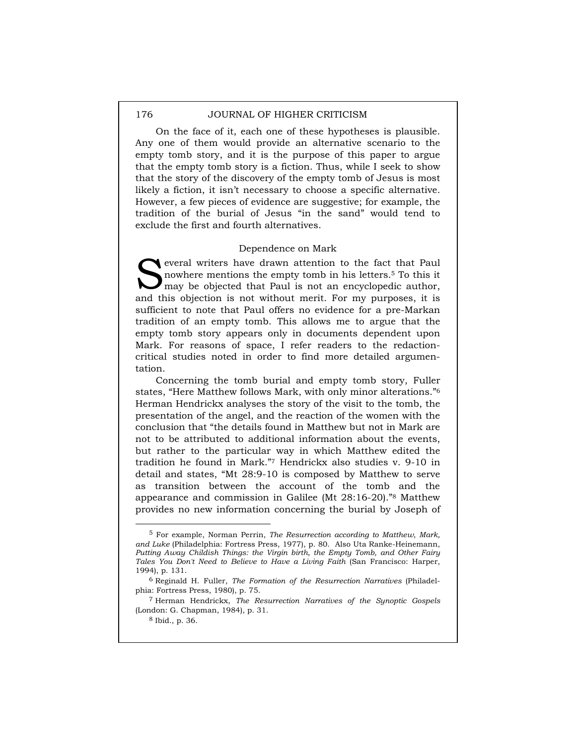On the face of it, each one of these hypotheses is plausible. Any one of them would provide an alternative scenario to the empty tomb story, and it is the purpose of this paper to argue that the empty tomb story is a fiction. Thus, while I seek to show that the story of the discovery of the empty tomb of Jesus is most likely a fiction, it isn't necessary to choose a specific alternative. However, a few pieces of evidence are suggestive; for example, the tradition of the burial of Jesus "in the sand" would tend to exclude the first and fourth alternatives.

## Dependence on Mark

Several writers have drawn attention to the fact that Paul nowhere mentions the empty tomb in his letters.5 To this it may be objected that Paul is not an encyclopedic author, and this objection is not without merit. For my purposes, it is sufficient to note that Paul offers no evidence for a pre-Markan tradition of an empty tomb. This allows me to argue that the empty tomb story appears only in documents dependent upon Mark. For reasons of space, I refer readers to the redactioncritical studies noted in order to find more detailed argumentation.

Concerning the tomb burial and empty tomb story, Fuller states, "Here Matthew follows Mark, with only minor alterations.["6](#page-1-1) Herman Hendrickx analyses the story of the visit to the tomb, the presentation of the angel, and the reaction of the women with the conclusion that "the details found in Matthew but not in Mark are not to be attributed to additional information about the events, but rather to the particular way in which Matthew edited the tradition he found in Mark."[7](#page-1-2) Hendrickx also studies v. 9-10 in detail and states, "Mt 28:9-10 is composed by Matthew to serve as transition between the account of the tomb and the appearance and commission in Galilee (Mt 28:16-20)."[8](#page-1-3) Matthew provides no new information concerning the burial by Joseph of

<span id="page-1-0"></span> <sup>5</sup> For example, Norman Perrin, *The Resurrection according to Matthew, Mark, and Luke* (Philadelphia: Fortress Press, 1977), p. 80. Also Uta Ranke-Heinemann, *Putting Away Childish Things: the Virgin birth, the Empty Tomb, and Other Fairy Tales You Don't Need to Believe to Have a Living Faith* (San Francisco: Harper, 1994), p. 131.

<span id="page-1-1"></span><sup>6</sup> Reginald H. Fuller, *The Formation of the Resurrection Narratives* (Philadelphia: Fortress Press, 1980), p. 75.

<span id="page-1-2"></span><sup>7</sup> Herman Hendrickx, *The Resurrection Narratives of the Synoptic Gospels* (London: G. Chapman, 1984), p. 31.

<span id="page-1-3"></span><sup>8</sup> Ibid., p. 36.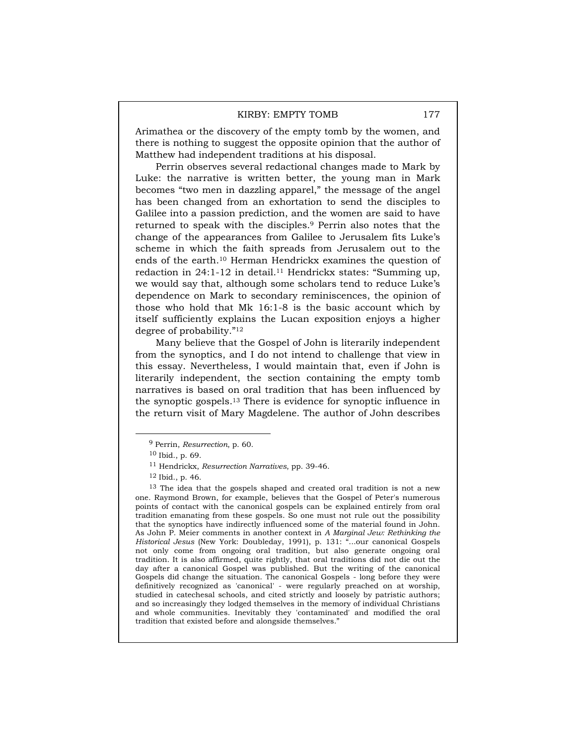Arimathea or the discovery of the empty tomb by the women, and there is nothing to suggest the opposite opinion that the author of Matthew had independent traditions at his disposal.

Perrin observes several redactional changes made to Mark by Luke: the narrative is written better, the young man in Mark becomes "two men in dazzling apparel," the message of the angel has been changed from an exhortation to send the disciples to Galilee into a passion prediction, and the women are said to have returned to speak with the disciples[.9](#page-2-0) Perrin also notes that the change of the appearances from Galilee to Jerusalem fits Luke's scheme in which the faith spreads from Jerusalem out to the ends of the earth[.10](#page-2-1) Herman Hendrickx examines the question of redaction in 24:1-12 in detail.<sup>11</sup> Hendrickx states: "Summing up, we would say that, although some scholars tend to reduce Luke's dependence on Mark to secondary reminiscences, the opinion of those who hold that Mk 16:1-8 is the basic account which by itself sufficiently explains the Lucan exposition enjoys a higher degree of probability."[12](#page-2-3)

Many believe that the Gospel of John is literarily independent from the synoptics, and I do not intend to challenge that view in this essay. Nevertheless, I would maintain that, even if John is literarily independent, the section containing the empty tomb narratives is based on oral tradition that has been influenced by the synoptic gospels[.13](#page-2-4) There is evidence for synoptic influence in the return visit of Mary Magdelene. The author of John describes

<sup>13</sup> The idea that the gospels shaped and created oral tradition is not a new one. Raymond Brown, for example, believes that the Gospel of Peter's numerous points of contact with the canonical gospels can be explained entirely from oral tradition emanating from these gospels. So one must not rule out the possibility that the synoptics have indirectly influenced some of the material found in John. As John P. Meier comments in another context in *A Marginal Jew: Rethinking the Historical Jesus* (New York: Doubleday, 1991), p. 131: "...our canonical Gospels not only come from ongoing oral tradition, but also generate ongoing oral tradition. It is also affirmed, quite rightly, that oral traditions did not die out the day after a canonical Gospel was published. But the writing of the canonical Gospels did change the situation. The canonical Gospels - long before they were definitively recognized as 'canonical' - were regularly preached on at worship, studied in catechesal schools, and cited strictly and loosely by patristic authors; and so increasingly they lodged themselves in the memory of individual Christians and whole communities. Inevitably they 'contaminated' and modified the oral tradition that existed before and alongside themselves."

<span id="page-2-0"></span> <sup>9</sup> Perrin, *Resurrection*, p. 60.

<span id="page-2-1"></span><sup>10</sup> Ibid., p. 69.

<span id="page-2-2"></span><sup>11</sup> Hendrickx, *Resurrection Narratives*, pp. 39-46.

<span id="page-2-4"></span><span id="page-2-3"></span><sup>12</sup> Ibid., p. 46.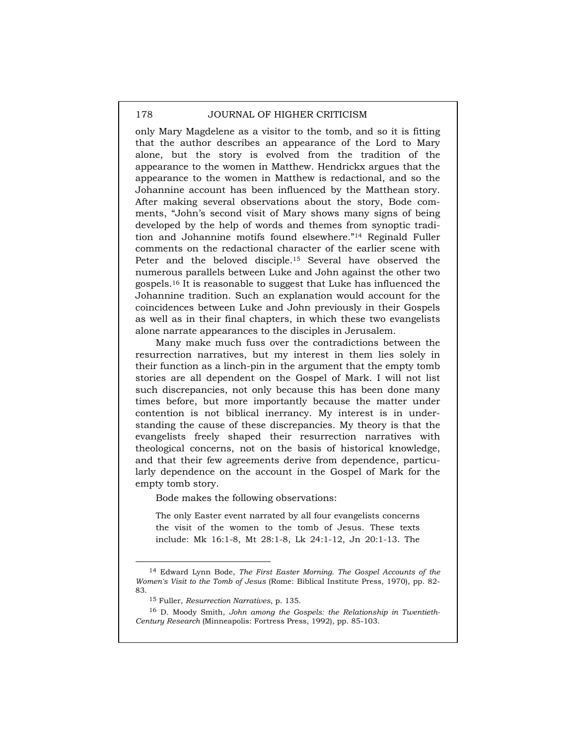only Mary Magdelene as a visitor to the tomb, and so it is fitting that the author describes an appearance of the Lord to Mary alone, but the story is evolved from the tradition of the appearance to the women in Matthew. Hendrickx argues that the appearance to the women in Matthew is redactional, and so the Johannine account has been influenced by the Matthean story. After making several observations about the story, Bode comments, "John's second visit of Mary shows many signs of being developed by the help of words and themes from synoptic tradition and Johannine motifs found elsewhere."[14](#page-3-0) Reginald Fuller comments on the redactional character of the earlier scene with Peter and the beloved disciple[.15](#page-3-1) Several have observed the numerous parallels between Luke and John against the other two gospels[.16](#page-3-2) It is reasonable to suggest that Luke has influenced the Johannine tradition. Such an explanation would account for the coincidences between Luke and John previously in their Gospels as well as in their final chapters, in which these two evangelists alone narrate appearances to the disciples in Jerusalem.

Many make much fuss over the contradictions between the resurrection narratives, but my interest in them lies solely in their function as a linch-pin in the argument that the empty tomb stories are all dependent on the Gospel of Mark. I will not list such discrepancies, not only because this has been done many times before, but more importantly because the matter under contention is not biblical inerrancy. My interest is in understanding the cause of these discrepancies. My theory is that the evangelists freely shaped their resurrection narratives with theological concerns, not on the basis of historical knowledge, and that their few agreements derive from dependence, particularly dependence on the account in the Gospel of Mark for the empty tomb story.

Bode makes the following observations:

The only Easter event narrated by all four evangelists concerns the visit of the women to the tomb of Jesus. These texts include: Mk 16:1-8, Mt 28:1-8, Lk 24:1-12, Jn 20:1-13. The

<span id="page-3-0"></span> <sup>14</sup> Edward Lynn Bode, *The First Easter Morning. The Gospel Accounts of the Women's Visit to the Tomb of Jesus* (Rome: Biblical Institute Press, 1970), pp. 82- 83.

<span id="page-3-2"></span><span id="page-3-1"></span><sup>15</sup> Fuller, *Resurrection Narratives*, p. 135.

<sup>16</sup> D. Moody Smith, *John among the Gospels: the Relationship in Twentieth-Century Research* (Minneapolis: Fortress Press, 1992), pp. 85-103.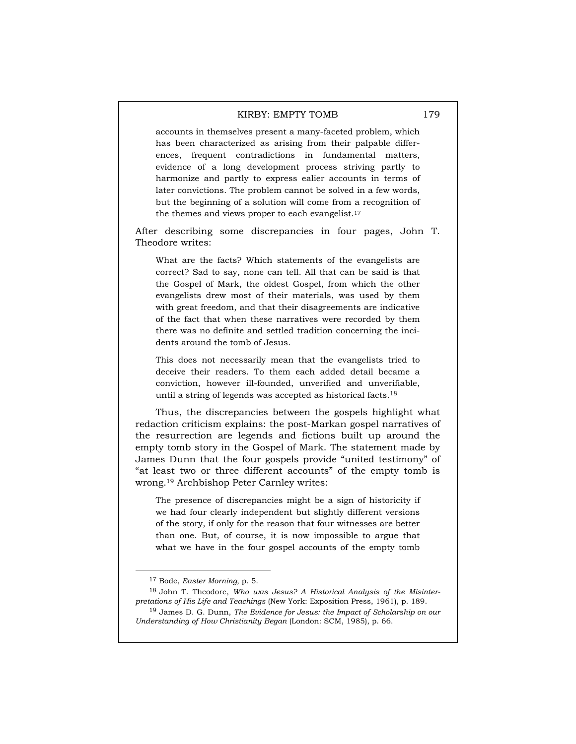accounts in themselves present a many-faceted problem, which has been characterized as arising from their palpable differences, frequent contradictions in fundamental matters, evidence of a long development process striving partly to harmonize and partly to express ealier accounts in terms of later convictions. The problem cannot be solved in a few words, but the beginning of a solution will come from a recognition of the themes and views proper to each evangelist[.17](#page-4-0)

After describing some discrepancies in four pages, John T. Theodore writes:

What are the facts? Which statements of the evangelists are correct? Sad to say, none can tell. All that can be said is that the Gospel of Mark, the oldest Gospel, from which the other evangelists drew most of their materials, was used by them with great freedom, and that their disagreements are indicative of the fact that when these narratives were recorded by them there was no definite and settled tradition concerning the incidents around the tomb of Jesus.

This does not necessarily mean that the evangelists tried to deceive their readers. To them each added detail became a conviction, however ill-founded, unverified and unverifiable, until a string of legends was accepted as historical facts[.18](#page-4-1)

Thus, the discrepancies between the gospels highlight what redaction criticism explains: the post-Markan gospel narratives of the resurrection are legends and fictions built up around the empty tomb story in the Gospel of Mark. The statement made by James Dunn that the four gospels provide "united testimony" of "at least two or three different accounts" of the empty tomb is wrong[.19](#page-4-2) Archbishop Peter Carnley writes:

The presence of discrepancies might be a sign of historicity if we had four clearly independent but slightly different versions of the story, if only for the reason that four witnesses are better than one. But, of course, it is now impossible to argue that what we have in the four gospel accounts of the empty tomb

18 John T. Theodore, *Who was Jesus? A Historical Analysis of the Misinterpretations of His Life and Teachings* (New York: Exposition Press, 1961), p. 189.

<span id="page-4-1"></span><span id="page-4-0"></span> <sup>17</sup> Bode, *Easter Morning*, p. 5.

<span id="page-4-2"></span><sup>19</sup> James D. G. Dunn, *The Evidence for Jesus: the Impact of Scholarship on our Understanding of How Christianity Began* (London: SCM, 1985), p. 66.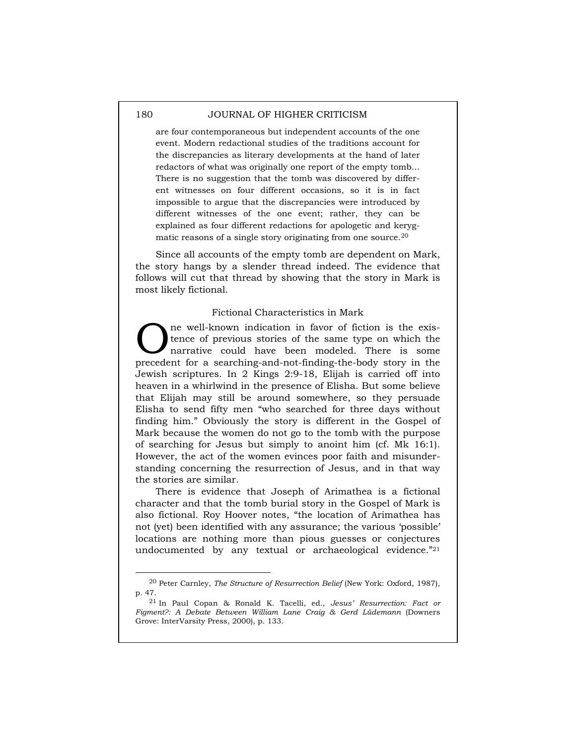are four contemporaneous but independent accounts of the one event. Modern redactional studies of the traditions account for the discrepancies as literary developments at the hand of later redactors of what was originally one report of the empty tomb... There is no suggestion that the tomb was discovered by different witnesses on four different occasions, so it is in fact impossible to argue that the discrepancies were introduced by different witnesses of the one event; rather, they can be explained as four different redactions for apologetic and kerygmatic reasons of a single story originating from one source.[20](#page-5-0)

Since all accounts of the empty tomb are dependent on Mark, the story hangs by a slender thread indeed. The evidence that follows will cut that thread by showing that the story in Mark is most likely fictional.

#### Fictional Characteristics in Mark

One well-known indication in favor of fiction is the exis-<br>tence of previous stories of the same type on which the<br>narrative could have been modeled. There is some<br>moved out for a seconding and not finding the hady stars i tence of previous stories of the same type on which the precedent for a searching-and-not-finding-the-body story in the Jewish scriptures. In 2 Kings 2:9-18, Elijah is carried off into heaven in a whirlwind in the presence of Elisha. But some believe that Elijah may still be around somewhere, so they persuade Elisha to send fifty men "who searched for three days without finding him." Obviously the story is different in the Gospel of Mark because the women do not go to the tomb with the purpose of searching for Jesus but simply to anoint him (cf. Mk 16:1). However, the act of the women evinces poor faith and misunderstanding concerning the resurrection of Jesus, and in that way the stories are similar.

There is evidence that Joseph of Arimathea is a fictional character and that the tomb burial story in the Gospel of Mark is also fictional. Roy Hoover notes, "the location of Arimathea has not (yet) been identified with any assurance; the various 'possible' locations are nothing more than pious guesses or conjectures undocumented by any textual or archaeological evidence."[21](#page-5-1)

<span id="page-5-0"></span> <sup>20</sup> Peter Carnley, *The Structure of Resurrection Belief* (New York: Oxford, 1987), p. 47.

<span id="page-5-1"></span><sup>21</sup> In Paul Copan & Ronald K. Tacelli, ed., *Jesus' Resurrection: Fact or Figment?: A Debate Between William Lane Craig & Gerd Lüdemann* (Downers Grove: InterVarsity Press, 2000), p. 133.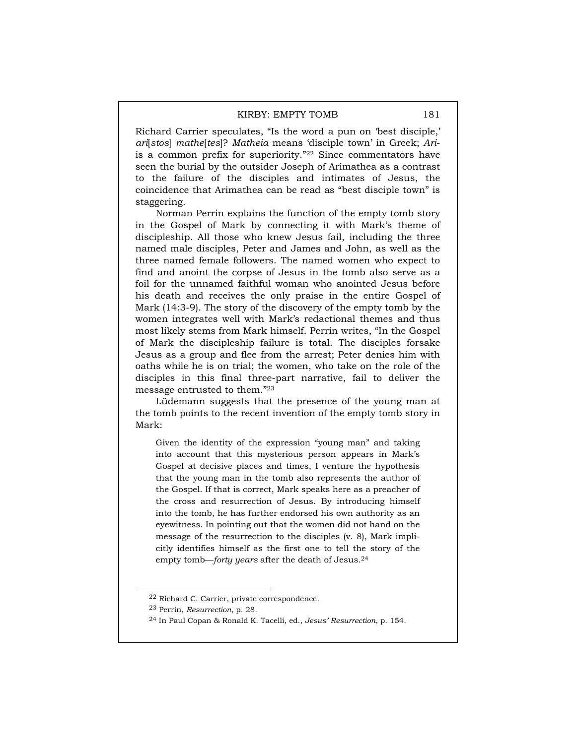Richard Carrier speculates, "Is the word a pun on 'best disciple,' *ari*[*stos*] *mathe*[*tes*]? *Matheia* means 'disciple town' in Greek; *Ari*is a common prefix for superiority.["22](#page-6-0) Since commentators have seen the burial by the outsider Joseph of Arimathea as a contrast to the failure of the disciples and intimates of Jesus, the coincidence that Arimathea can be read as "best disciple town" is staggering.

Norman Perrin explains the function of the empty tomb story in the Gospel of Mark by connecting it with Mark's theme of discipleship. All those who knew Jesus fail, including the three named male disciples, Peter and James and John, as well as the three named female followers. The named women who expect to find and anoint the corpse of Jesus in the tomb also serve as a foil for the unnamed faithful woman who anointed Jesus before his death and receives the only praise in the entire Gospel of Mark (14:3-9). The story of the discovery of the empty tomb by the women integrates well with Mark's redactional themes and thus most likely stems from Mark himself. Perrin writes, "In the Gospel of Mark the discipleship failure is total. The disciples forsake Jesus as a group and flee from the arrest; Peter denies him with oaths while he is on trial; the women, who take on the role of the disciples in this final three-part narrative, fail to deliver the message entrusted to them."[23](#page-6-1)

Lüdemann suggests that the presence of the young man at the tomb points to the recent invention of the empty tomb story in Mark:

Given the identity of the expression "young man" and taking into account that this mysterious person appears in Mark's Gospel at decisive places and times, I venture the hypothesis that the young man in the tomb also represents the author of the Gospel. If that is correct, Mark speaks here as a preacher of the cross and resurrection of Jesus. By introducing himself into the tomb, he has further endorsed his own authority as an eyewitness. In pointing out that the women did not hand on the message of the resurrection to the disciples (v. 8), Mark implicitly identifies himself as the first one to tell the story of the empty tomb—*forty years* after the death of Jesus.[24](#page-6-2)

<span id="page-6-0"></span> <sup>22</sup> Richard C. Carrier, private correspondence.

<span id="page-6-1"></span><sup>23</sup> Perrin, *Resurrection*, p. 28.

<span id="page-6-2"></span><sup>24</sup> In Paul Copan & Ronald K. Tacelli, ed., *Jesus' Resurrection*, p. 154.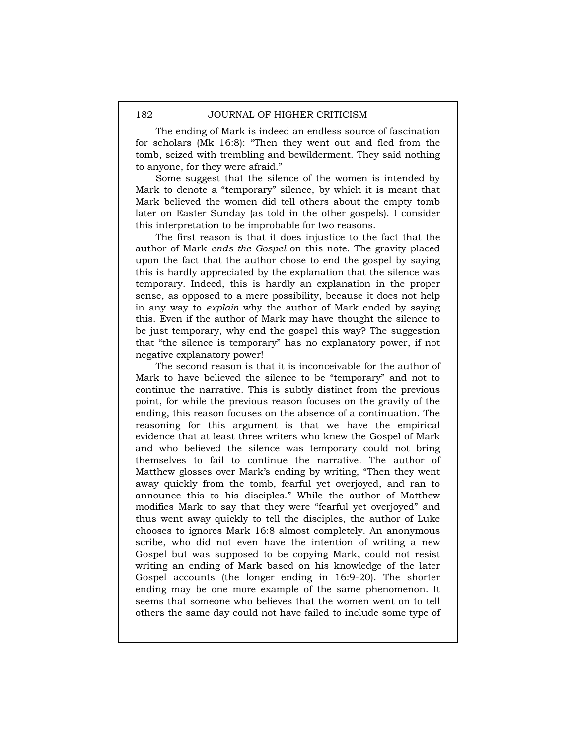The ending of Mark is indeed an endless source of fascination for scholars (Mk 16:8): "Then they went out and fled from the tomb, seized with trembling and bewilderment. They said nothing to anyone, for they were afraid."

Some suggest that the silence of the women is intended by Mark to denote a "temporary" silence, by which it is meant that Mark believed the women did tell others about the empty tomb later on Easter Sunday (as told in the other gospels). I consider this interpretation to be improbable for two reasons.

The first reason is that it does injustice to the fact that the author of Mark *ends the Gospel* on this note. The gravity placed upon the fact that the author chose to end the gospel by saying this is hardly appreciated by the explanation that the silence was temporary. Indeed, this is hardly an explanation in the proper sense, as opposed to a mere possibility, because it does not help in any way to *explain* why the author of Mark ended by saying this. Even if the author of Mark may have thought the silence to be just temporary, why end the gospel this way? The suggestion that "the silence is temporary" has no explanatory power, if not negative explanatory power!

The second reason is that it is inconceivable for the author of Mark to have believed the silence to be "temporary" and not to continue the narrative. This is subtly distinct from the previous point, for while the previous reason focuses on the gravity of the ending, this reason focuses on the absence of a continuation. The reasoning for this argument is that we have the empirical evidence that at least three writers who knew the Gospel of Mark and who believed the silence was temporary could not bring themselves to fail to continue the narrative. The author of Matthew glosses over Mark's ending by writing, "Then they went away quickly from the tomb, fearful yet overjoyed, and ran to announce this to his disciples." While the author of Matthew modifies Mark to say that they were "fearful yet overjoyed" and thus went away quickly to tell the disciples, the author of Luke chooses to ignores Mark 16:8 almost completely. An anonymous scribe, who did not even have the intention of writing a new Gospel but was supposed to be copying Mark, could not resist writing an ending of Mark based on his knowledge of the later Gospel accounts (the longer ending in 16:9-20). The shorter ending may be one more example of the same phenomenon. It seems that someone who believes that the women went on to tell others the same day could not have failed to include some type of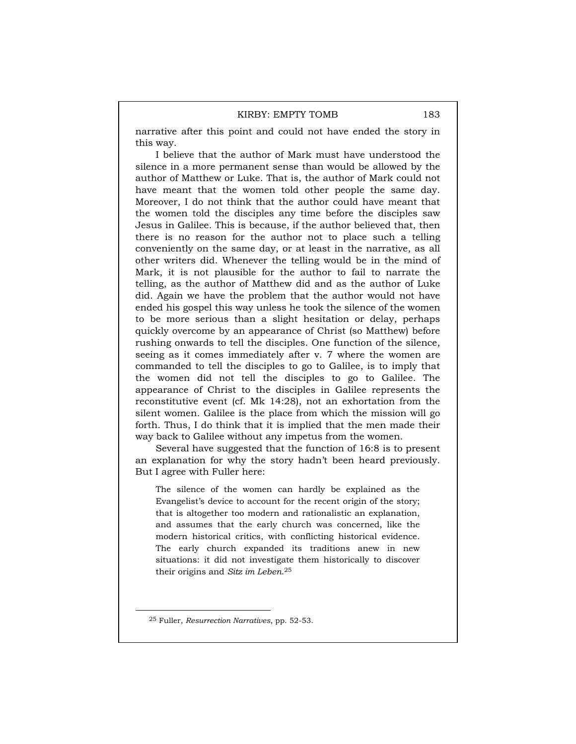narrative after this point and could not have ended the story in this way.

I believe that the author of Mark must have understood the silence in a more permanent sense than would be allowed by the author of Matthew or Luke. That is, the author of Mark could not have meant that the women told other people the same day. Moreover, I do not think that the author could have meant that the women told the disciples any time before the disciples saw Jesus in Galilee. This is because, if the author believed that, then there is no reason for the author not to place such a telling conveniently on the same day, or at least in the narrative, as all other writers did. Whenever the telling would be in the mind of Mark, it is not plausible for the author to fail to narrate the telling, as the author of Matthew did and as the author of Luke did. Again we have the problem that the author would not have ended his gospel this way unless he took the silence of the women to be more serious than a slight hesitation or delay, perhaps quickly overcome by an appearance of Christ (so Matthew) before rushing onwards to tell the disciples. One function of the silence, seeing as it comes immediately after v. 7 where the women are commanded to tell the disciples to go to Galilee, is to imply that the women did not tell the disciples to go to Galilee. The appearance of Christ to the disciples in Galilee represents the reconstitutive event (cf. Mk 14:28), not an exhortation from the silent women. Galilee is the place from which the mission will go forth. Thus, I do think that it is implied that the men made their way back to Galilee without any impetus from the women.

Several have suggested that the function of 16:8 is to present an explanation for why the story hadn't been heard previously. But I agree with Fuller here:

The silence of the women can hardly be explained as the Evangelist's device to account for the recent origin of the story; that is altogether too modern and rationalistic an explanation, and assumes that the early church was concerned, like the modern historical critics, with conflicting historical evidence. The early church expanded its traditions anew in new situations: it did not investigate them historically to discover their origins and *Sitz im Leben*[.25](#page-8-0)

<span id="page-8-0"></span> <sup>25</sup> Fuller, *Resurrection Narratives*, pp. 52-53.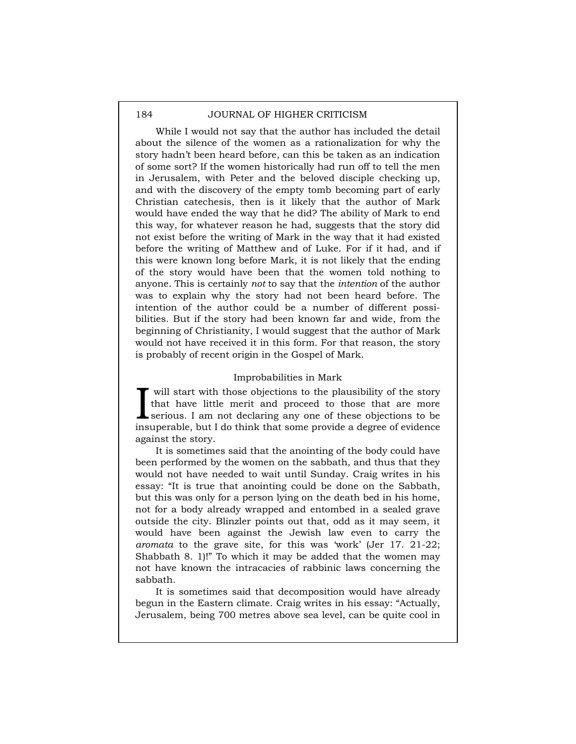While I would not say that the author has included the detail about the silence of the women as a rationalization for why the story hadn't been heard before, can this be taken as an indication of some sort? If the women historically had run off to tell the men in Jerusalem, with Peter and the beloved disciple checking up, and with the discovery of the empty tomb becoming part of early Christian catechesis, then is it likely that the author of Mark would have ended the way that he did? The ability of Mark to end this way, for whatever reason he had, suggests that the story did not exist before the writing of Mark in the way that it had existed before the writing of Matthew and of Luke. For if it had, and if this were known long before Mark, it is not likely that the ending of the story would have been that the women told nothing to anyone. This is certainly *not* to say that the *intention* of the author was to explain why the story had not been heard before. The intention of the author could be a number of different possibilities. But if the story had been known far and wide, from the beginning of Christianity, I would suggest that the author of Mark would not have received it in this form. For that reason, the story is probably of recent origin in the Gospel of Mark.

# Improbabilities in Mark

will start with those objections to the plausibility of the story<br>that have little merit and proceed to those that are more<br>serious. I am not declaring any one of these objections to be<br>insuperable, but I do think that som will start with those objections to the plausibility of the story that have little merit and proceed to those that are more serious. I am not declaring any one of these objections to be against the story.

It is sometimes said that the anointing of the body could have been performed by the women on the sabbath, and thus that they would not have needed to wait until Sunday. Craig writes in his essay: "It is true that anointing could be done on the Sabbath, but this was only for a person lying on the death bed in his home, not for a body already wrapped and entombed in a sealed grave outside the city. Blinzler points out that, odd as it may seem, it would have been against the Jewish law even to carry the *aromata* to the grave site, for this was 'work' (Jer 17. 21-22; Shabbath 8. 1)!" To which it may be added that the women may not have known the intracacies of rabbinic laws concerning the sabbath.

It is sometimes said that decomposition would have already begun in the Eastern climate. Craig writes in his essay: "Actually, Jerusalem, being 700 metres above sea level, can be quite cool in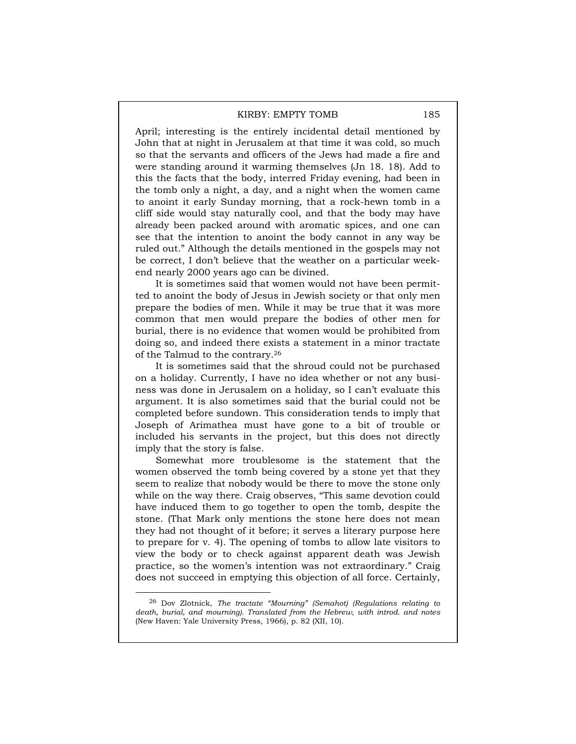April; interesting is the entirely incidental detail mentioned by John that at night in Jerusalem at that time it was cold, so much so that the servants and officers of the Jews had made a fire and were standing around it warming themselves (Jn 18. 18). Add to this the facts that the body, interred Friday evening, had been in the tomb only a night, a day, and a night when the women came to anoint it early Sunday morning, that a rock-hewn tomb in a cliff side would stay naturally cool, and that the body may have already been packed around with aromatic spices, and one can see that the intention to anoint the body cannot in any way be ruled out." Although the details mentioned in the gospels may not be correct, I don't believe that the weather on a particular weekend nearly 2000 years ago can be divined.

It is sometimes said that women would not have been permitted to anoint the body of Jesus in Jewish society or that only men prepare the bodies of men. While it may be true that it was more common that men would prepare the bodies of other men for burial, there is no evidence that women would be prohibited from doing so, and indeed there exists a statement in a minor tractate of the Talmud to the contrary[.26](#page-10-0)

It is sometimes said that the shroud could not be purchased on a holiday. Currently, I have no idea whether or not any business was done in Jerusalem on a holiday, so I can't evaluate this argument. It is also sometimes said that the burial could not be completed before sundown. This consideration tends to imply that Joseph of Arimathea must have gone to a bit of trouble or included his servants in the project, but this does not directly imply that the story is false.

Somewhat more troublesome is the statement that the women observed the tomb being covered by a stone yet that they seem to realize that nobody would be there to move the stone only while on the way there. Craig observes, "This same devotion could have induced them to go together to open the tomb, despite the stone. (That Mark only mentions the stone here does not mean they had not thought of it before; it serves a literary purpose here to prepare for v. 4). The opening of tombs to allow late visitors to view the body or to check against apparent death was Jewish practice, so the women's intention was not extraordinary." Craig does not succeed in emptying this objection of all force. Certainly,

<span id="page-10-0"></span> <sup>26</sup> Dov Zlotnick, *The tractate "Mourning" (Semahot) (Regulations relating to death, burial, and mourning). Translated from the Hebrew, with introd. and notes* (New Haven: Yale University Press, 1966), p. 82 (XII, 10).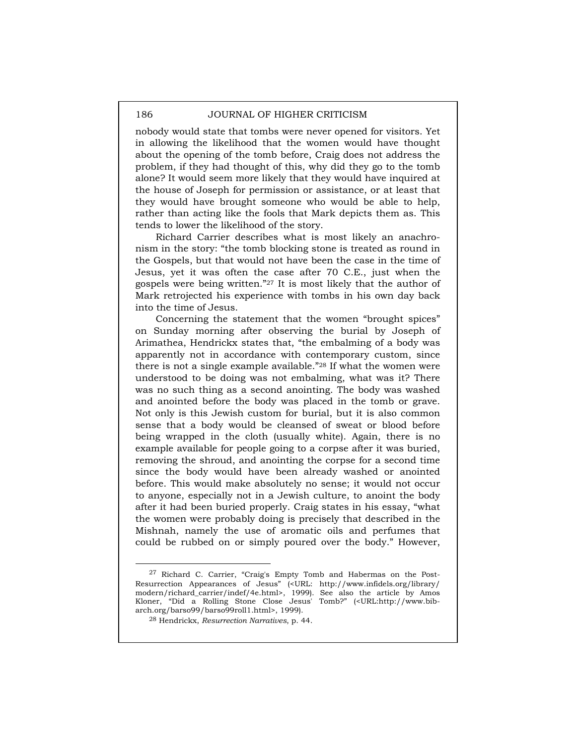nobody would state that tombs were never opened for visitors. Yet in allowing the likelihood that the women would have thought about the opening of the tomb before, Craig does not address the problem, if they had thought of this, why did they go to the tomb alone? It would seem more likely that they would have inquired at the house of Joseph for permission or assistance, or at least that they would have brought someone who would be able to help, rather than acting like the fools that Mark depicts them as. This tends to lower the likelihood of the story.

Richard Carrier describes what is most likely an anachronism in the story: "the tomb blocking stone is treated as round in the Gospels, but that would not have been the case in the time of Jesus, yet it was often the case after 70 C.E., just when the gospels were being written.["27](#page-11-0) It is most likely that the author of Mark retrojected his experience with tombs in his own day back into the time of Jesus.

Concerning the statement that the women "brought spices" on Sunday morning after observing the burial by Joseph of Arimathea, Hendrickx states that, "the embalming of a body was apparently not in accordance with contemporary custom, since there is not a single example available.["28](#page-11-1) If what the women were understood to be doing was not embalming, what was it? There was no such thing as a second anointing. The body was washed and anointed before the body was placed in the tomb or grave. Not only is this Jewish custom for burial, but it is also common sense that a body would be cleansed of sweat or blood before being wrapped in the cloth (usually white). Again, there is no example available for people going to a corpse after it was buried, removing the shroud, and anointing the corpse for a second time since the body would have been already washed or anointed before. This would make absolutely no sense; it would not occur to anyone, especially not in a Jewish culture, to anoint the body after it had been buried properly. Craig states in his essay, "what the women were probably doing is precisely that described in the Mishnah, namely the use of aromatic oils and perfumes that could be rubbed on or simply poured over the body." However,

<span id="page-11-0"></span> <sup>27</sup> Richard C. Carrier, "Craig's Empty Tomb and Habermas on the Post-Resurrection Appearances of Jesus" (<URL: http://www.infidels.org/library/ modern/richard\_carrier/indef/4e.html>, 1999). See also the article by Amos Kloner, "Did a Rolling Stone Close Jesus' Tomb?" (<URL:http://www.bibarch.org/barso99/barso99roll1.html>, 1999).

<span id="page-11-1"></span><sup>28</sup> Hendrickx, *Resurrection Narratives*, p. 44.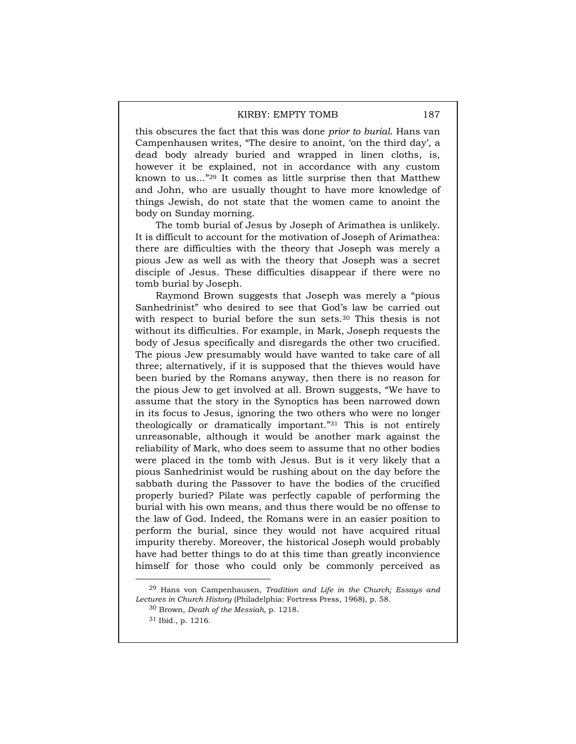this obscures the fact that this was done *prior to burial*. Hans van Campenhausen writes, "The desire to anoint, 'on the third day', a dead body already buried and wrapped in linen cloths, is, however it be explained, not in accordance with any custom known to us...["29](#page-12-0) It comes as little surprise then that Matthew and John, who are usually thought to have more knowledge of things Jewish, do not state that the women came to anoint the body on Sunday morning.

The tomb burial of Jesus by Joseph of Arimathea is unlikely. It is difficult to account for the motivation of Joseph of Arimathea: there are difficulties with the theory that Joseph was merely a pious Jew as well as with the theory that Joseph was a secret disciple of Jesus. These difficulties disappear if there were no tomb burial by Joseph.

Raymond Brown suggests that Joseph was merely a "pious Sanhedrinist" who desired to see that God's law be carried out with respect to burial before the sun sets.<sup>30</sup> This thesis is not without its difficulties. For example, in Mark, Joseph requests the body of Jesus specifically and disregards the other two crucified. The pious Jew presumably would have wanted to take care of all three; alternatively, if it is supposed that the thieves would have been buried by the Romans anyway, then there is no reason for the pious Jew to get involved at all. Brown suggests, "We have to assume that the story in the Synoptics has been narrowed down in its focus to Jesus, ignoring the two others who were no longer theologically or dramatically important.["31](#page-12-2) This is not entirely unreasonable, although it would be another mark against the reliability of Mark, who does seem to assume that no other bodies were placed in the tomb with Jesus. But is it very likely that a pious Sanhedrinist would be rushing about on the day before the sabbath during the Passover to have the bodies of the crucified properly buried? Pilate was perfectly capable of performing the burial with his own means, and thus there would be no offense to the law of God. Indeed, the Romans were in an easier position to perform the burial, since they would not have acquired ritual impurity thereby. Moreover, the historical Joseph would probably have had better things to do at this time than greatly inconvience himself for those who could only be commonly perceived as

 <sup>29</sup> Hans von Campenhausen, *Tradition and Life in the Church; Essays and Lectures in Church History* (Philadelphia: Fortress Press, 1968), p. 58.

<span id="page-12-1"></span><span id="page-12-0"></span><sup>30</sup> Brown, *Death of the Messiah,* p. 1218.

<span id="page-12-2"></span><sup>31</sup> Ibid., p. 1216.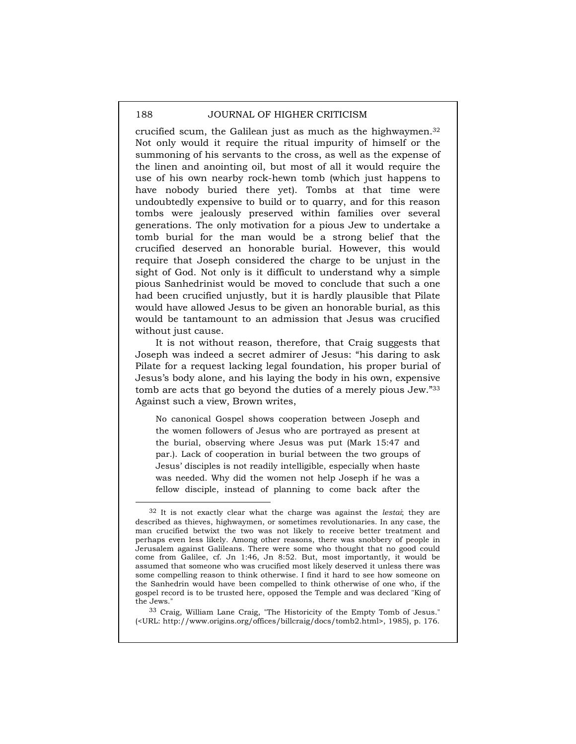crucified scum, the Galilean just as much as the highwaymen[.32](#page-13-0) Not only would it require the ritual impurity of himself or the summoning of his servants to the cross, as well as the expense of the linen and anointing oil, but most of all it would require the use of his own nearby rock-hewn tomb (which just happens to have nobody buried there yet). Tombs at that time were undoubtedly expensive to build or to quarry, and for this reason tombs were jealously preserved within families over several generations. The only motivation for a pious Jew to undertake a tomb burial for the man would be a strong belief that the crucified deserved an honorable burial. However, this would require that Joseph considered the charge to be unjust in the sight of God. Not only is it difficult to understand why a simple pious Sanhedrinist would be moved to conclude that such a one had been crucified unjustly, but it is hardly plausible that Pilate would have allowed Jesus to be given an honorable burial, as this would be tantamount to an admission that Jesus was crucified without just cause.

It is not without reason, therefore, that Craig suggests that Joseph was indeed a secret admirer of Jesus: "his daring to ask Pilate for a request lacking legal foundation, his proper burial of Jesus's body alone, and his laying the body in his own, expensive tomb are acts that go beyond the duties of a merely pious Jew.["33](#page-13-1) Against such a view, Brown writes,

No canonical Gospel shows cooperation between Joseph and the women followers of Jesus who are portrayed as present at the burial, observing where Jesus was put (Mark 15:47 and par.). Lack of cooperation in burial between the two groups of Jesus' disciples is not readily intelligible, especially when haste was needed. Why did the women not help Joseph if he was a fellow disciple, instead of planning to come back after the

<span id="page-13-1"></span>33 Craig, William Lane Craig, "The Historicity of the Empty Tomb of Jesus." (<URL: http://www.origins.org/offices/billcraig/docs/tomb2.html>, 1985), p. 176.

<span id="page-13-0"></span> <sup>32</sup> It is not exactly clear what the charge was against the *lestai*; they are described as thieves, highwaymen, or sometimes revolutionaries. In any case, the man crucified betwixt the two was not likely to receive better treatment and perhaps even less likely. Among other reasons, there was snobbery of people in Jerusalem against Galileans. There were some who thought that no good could come from Galilee, cf. Jn 1:46, Jn 8:52. But, most importantly, it would be assumed that someone who was crucified most likely deserved it unless there was some compelling reason to think otherwise. I find it hard to see how someone on the Sanhedrin would have been compelled to think otherwise of one who, if the gospel record is to be trusted here, opposed the Temple and was declared "King of the Jews."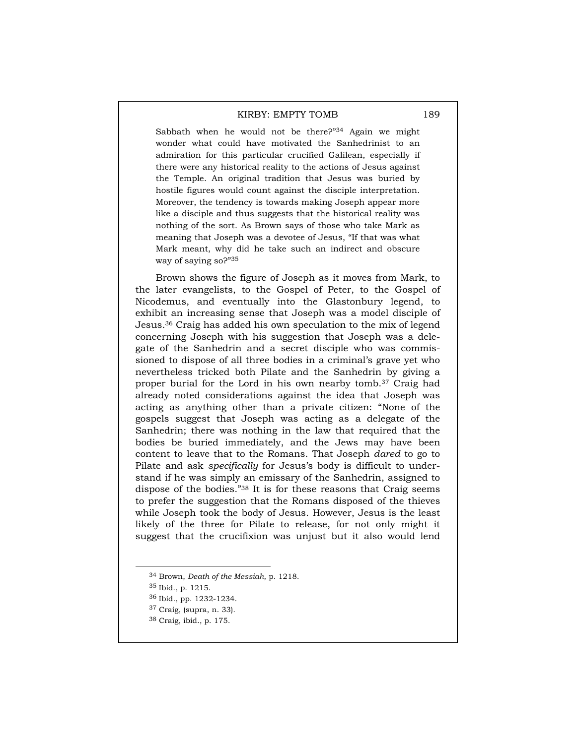Sabbath when he would not be there?["34](#page-14-0) Again we might wonder what could have motivated the Sanhedrinist to an admiration for this particular crucified Galilean, especially if there were any historical reality to the actions of Jesus against the Temple. An original tradition that Jesus was buried by hostile figures would count against the disciple interpretation. Moreover, the tendency is towards making Joseph appear more like a disciple and thus suggests that the historical reality was nothing of the sort. As Brown says of those who take Mark as meaning that Joseph was a devotee of Jesus, "If that was what Mark meant, why did he take such an indirect and obscure way of saying so?"[35](#page-14-1) 

Brown shows the figure of Joseph as it moves from Mark, to the later evangelists, to the Gospel of Peter, to the Gospel of Nicodemus, and eventually into the Glastonbury legend, to exhibit an increasing sense that Joseph was a model disciple of Jesus.[36](#page-14-2) Craig has added his own speculation to the mix of legend concerning Joseph with his suggestion that Joseph was a delegate of the Sanhedrin and a secret disciple who was commissioned to dispose of all three bodies in a criminal's grave yet who nevertheless tricked both Pilate and the Sanhedrin by giving a proper burial for the Lord in his own nearby tomb.[37](#page-14-3) Craig had already noted considerations against the idea that Joseph was acting as anything other than a private citizen: "None of the gospels suggest that Joseph was acting as a delegate of the Sanhedrin; there was nothing in the law that required that the bodies be buried immediately, and the Jews may have been content to leave that to the Romans. That Joseph *dared* to go to Pilate and ask *specifically* for Jesus's body is difficult to understand if he was simply an emissary of the Sanhedrin, assigned to dispose of the bodies."[38](#page-14-4) It is for these reasons that Craig seems to prefer the suggestion that the Romans disposed of the thieves while Joseph took the body of Jesus. However, Jesus is the least likely of the three for Pilate to release, for not only might it suggest that the crucifixion was unjust but it also would lend

<span id="page-14-0"></span> <sup>34</sup> Brown, *Death of the Messiah*, p. 1218.

<span id="page-14-1"></span><sup>35</sup> Ibid., p. 1215.

<span id="page-14-2"></span><sup>36</sup> Ibid., pp. 1232-1234.

<span id="page-14-3"></span><sup>37</sup> Craig, (supra, n. 33).

<span id="page-14-4"></span><sup>38</sup> Craig, ibid., p. 175.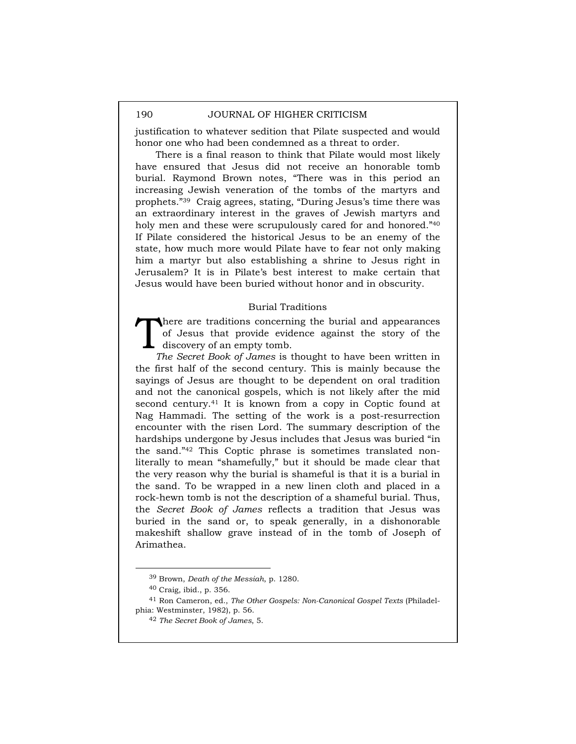justification to whatever sedition that Pilate suspected and would honor one who had been condemned as a threat to order.

There is a final reason to think that Pilate would most likely have ensured that Jesus did not receive an honorable tomb burial. Raymond Brown notes, "There was in this period an increasing Jewish veneration of the tombs of the martyrs and prophets.["39](#page-15-0) Craig agrees, stating, "During Jesus's time there was an extraordinary interest in the graves of Jewish martyrs and holy men and these were scrupulously cared for and honored."<sup>40</sup> If Pilate considered the historical Jesus to be an enemy of the state, how much more would Pilate have to fear not only making him a martyr but also establishing a shrine to Jesus right in Jerusalem? It is in Pilate's best interest to make certain that Jesus would have been buried without honor and in obscurity.

## Burial Traditions

There are traditions concerning the burial and appearances<br>of Jesus that provide evidence against the story of the<br>discovery of an empty tomb. of Jesus that provide evidence against the story of the discovery of an empty tomb.

*The Secret Book of James* is thought to have been written in the first half of the second century. This is mainly because the sayings of Jesus are thought to be dependent on oral tradition and not the canonical gospels, which is not likely after the mid second century.<sup>41</sup> It is known from a copy in Coptic found at Nag Hammadi. The setting of the work is a post-resurrection encounter with the risen Lord. The summary description of the hardships undergone by Jesus includes that Jesus was buried "in the sand.["42](#page-15-3) This Coptic phrase is sometimes translated nonliterally to mean "shamefully," but it should be made clear that the very reason why the burial is shameful is that it is a burial in the sand. To be wrapped in a new linen cloth and placed in a rock-hewn tomb is not the description of a shameful burial. Thus, the *Secret Book of James* reflects a tradition that Jesus was buried in the sand or, to speak generally, in a dishonorable makeshift shallow grave instead of in the tomb of Joseph of Arimathea.

<span id="page-15-0"></span> <sup>39</sup> Brown, *Death of the Messiah*, p. 1280.

<span id="page-15-2"></span><span id="page-15-1"></span><sup>40</sup> Craig, ibid., p. 356.

<sup>41</sup> Ron Cameron, ed., *The Other Gospels: Non-Canonical Gospel Texts* (Philadelphia: Westminster, 1982), p. 56.

<span id="page-15-3"></span><sup>42</sup> *The Secret Book of James*, 5.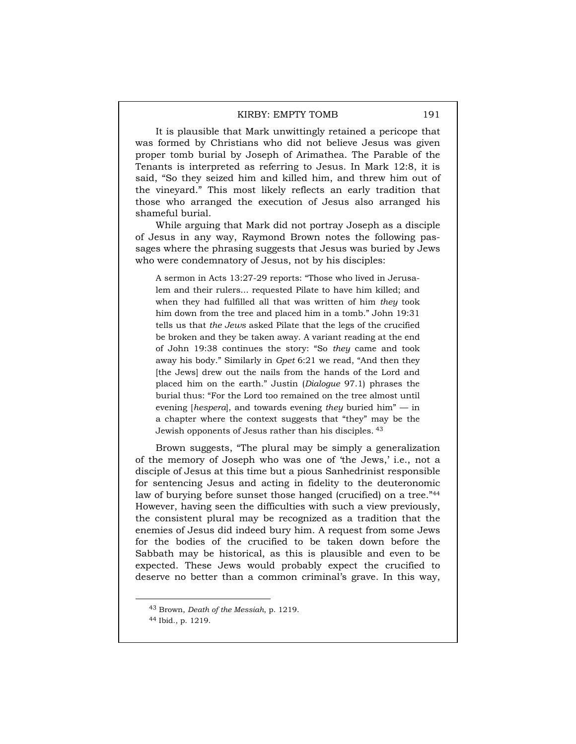It is plausible that Mark unwittingly retained a pericope that was formed by Christians who did not believe Jesus was given proper tomb burial by Joseph of Arimathea. The Parable of the Tenants is interpreted as referring to Jesus. In Mark 12:8, it is said, "So they seized him and killed him, and threw him out of the vineyard." This most likely reflects an early tradition that those who arranged the execution of Jesus also arranged his shameful burial.

While arguing that Mark did not portray Joseph as a disciple of Jesus in any way, Raymond Brown notes the following passages where the phrasing suggests that Jesus was buried by Jews who were condemnatory of Jesus, not by his disciples:

A sermon in Acts 13:27-29 reports: "Those who lived in Jerusalem and their rulers... requested Pilate to have him killed; and when they had fulfilled all that was written of him *they* took him down from the tree and placed him in a tomb." John 19:31 tells us that *the Jews* asked Pilate that the legs of the crucified be broken and they be taken away. A variant reading at the end of John 19:38 continues the story: "So *they* came and took away his body." Similarly in *Gpet* 6:21 we read, "And then they [the Jews] drew out the nails from the hands of the Lord and placed him on the earth." Justin (*Dialogue* 97.1) phrases the burial thus: "For the Lord too remained on the tree almost until evening [*hespera*], and towards evening *they* buried him" — in a chapter where the context suggests that "they" may be the Jewish opponents of Jesus rather than his disciples. [43](#page-16-0)

Brown suggests, "The plural may be simply a generalization of the memory of Joseph who was one of 'the Jews,' i.e., not a disciple of Jesus at this time but a pious Sanhedrinist responsible for sentencing Jesus and acting in fidelity to the deuteronomic law of burying before sunset those hanged (crucified) on a tree."[44](#page-16-1) However, having seen the difficulties with such a view previously, the consistent plural may be recognized as a tradition that the enemies of Jesus did indeed bury him. A request from some Jews for the bodies of the crucified to be taken down before the Sabbath may be historical, as this is plausible and even to be expected. These Jews would probably expect the crucified to deserve no better than a common criminal's grave. In this way,

<span id="page-16-0"></span> <sup>43</sup> Brown, *Death of the Messiah*, p. 1219.

<span id="page-16-1"></span><sup>44</sup> Ibid., p. 1219.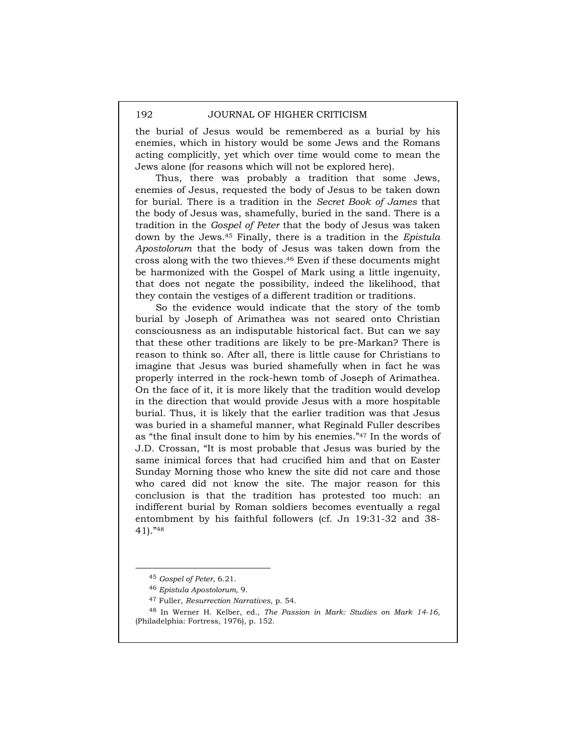the burial of Jesus would be remembered as a burial by his enemies, which in history would be some Jews and the Romans acting complicitly, yet which over time would come to mean the Jews alone (for reasons which will not be explored here).

Thus, there was probably a tradition that some Jews, enemies of Jesus, requested the body of Jesus to be taken down for burial. There is a tradition in the *Secret Book of James* that the body of Jesus was, shamefully, buried in the sand. There is a tradition in the *Gospel of Peter* that the body of Jesus was taken down by the Jews[.45](#page-17-0) Finally, there is a tradition in the *Epistula Apostolorum* that the body of Jesus was taken down from the cross along with the two thieves[.46](#page-17-1) Even if these documents might be harmonized with the Gospel of Mark using a little ingenuity, that does not negate the possibility, indeed the likelihood, that they contain the vestiges of a different tradition or traditions.

So the evidence would indicate that the story of the tomb burial by Joseph of Arimathea was not seared onto Christian consciousness as an indisputable historical fact. But can we say that these other traditions are likely to be pre-Markan? There is reason to think so. After all, there is little cause for Christians to imagine that Jesus was buried shamefully when in fact he was properly interred in the rock-hewn tomb of Joseph of Arimathea. On the face of it, it is more likely that the tradition would develop in the direction that would provide Jesus with a more hospitable burial. Thus, it is likely that the earlier tradition was that Jesus was buried in a shameful manner, what Reginald Fuller describes as "the final insult done to him by his enemies.["47](#page-17-2) In the words of J.D. Crossan, "It is most probable that Jesus was buried by the same inimical forces that had crucified him and that on Easter Sunday Morning those who knew the site did not care and those who cared did not know the site. The major reason for this conclusion is that the tradition has protested too much: an indifferent burial by Roman soldiers becomes eventually a regal entombment by his faithful followers (cf. Jn 19:31-32 and 38- 41).["48](#page-17-3)

<span id="page-17-0"></span> <sup>45</sup> *Gospel of Peter*, 6.21.

<span id="page-17-1"></span><sup>46</sup> *Epistula Apostolorum*, 9.

<span id="page-17-3"></span><span id="page-17-2"></span><sup>47</sup> Fuller, *Resurrection Narratives*, p. 54.

<sup>48</sup> In Werner H. Kelber, ed., *The Passion in Mark: Studies on Mark 14-16*, (Philadelphia: Fortress, 1976), p. 152.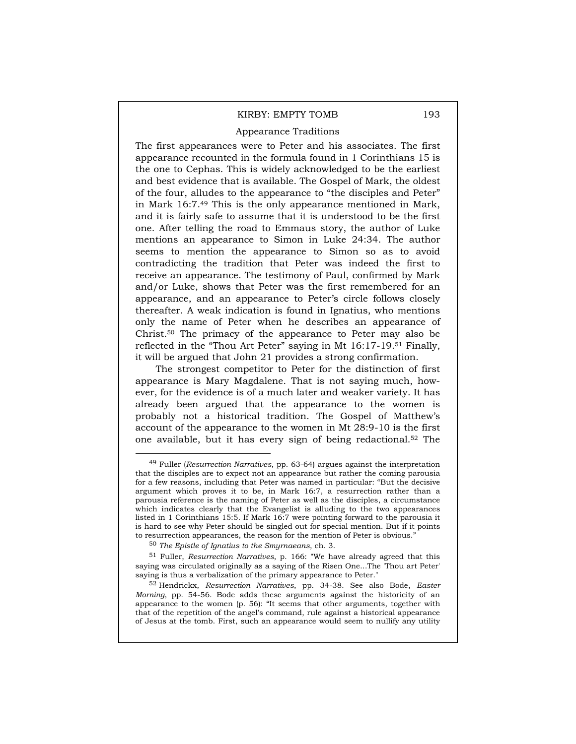#### Appearance Traditions

The first appearances were to Peter and his associates. The first appearance recounted in the formula found in 1 Corinthians 15 is the one to Cephas. This is widely acknowledged to be the earliest and best evidence that is available. The Gospel of Mark, the oldest of the four, alludes to the appearance to "the disciples and Peter" in Mark 16:7[.49](#page-18-0) This is the only appearance mentioned in Mark, and it is fairly safe to assume that it is understood to be the first one. After telling the road to Emmaus story, the author of Luke mentions an appearance to Simon in Luke 24:34. The author seems to mention the appearance to Simon so as to avoid contradicting the tradition that Peter was indeed the first to receive an appearance. The testimony of Paul, confirmed by Mark and/or Luke, shows that Peter was the first remembered for an appearance, and an appearance to Peter's circle follows closely thereafter. A weak indication is found in Ignatius, who mentions only the name of Peter when he describes an appearance of Christ[.50](#page-18-1) The primacy of the appearance to Peter may also be reflected in the "Thou Art Peter" saying in Mt 16:17-19.[51](#page-18-2) Finally, it will be argued that John 21 provides a strong confirmation.

The strongest competitor to Peter for the distinction of first appearance is Mary Magdalene. That is not saying much, however, for the evidence is of a much later and weaker variety. It has already been argued that the appearance to the women is probably not a historical tradition. The Gospel of Matthew's account of the appearance to the women in Mt 28:9-10 is the first one available, but it has every sign of being redactional.[52](#page-18-3) The

<span id="page-18-0"></span> <sup>49</sup> Fuller (*Resurrection Narratives*, pp. 63-64) argues against the interpretation that the disciples are to expect not an appearance but rather the coming parousia for a few reasons, including that Peter was named in particular: "But the decisive argument which proves it to be, in Mark 16:7, a resurrection rather than a parousia reference is the naming of Peter as well as the disciples, a circumstance which indicates clearly that the Evangelist is alluding to the two appearances listed in 1 Corinthians 15:5. If Mark 16:7 were pointing forward to the parousia it is hard to see why Peter should be singled out for special mention. But if it points to resurrection appearances, the reason for the mention of Peter is obvious."

<span id="page-18-2"></span><span id="page-18-1"></span><sup>50</sup> *The Epistle of Ignatius to the Smyrnaeans*, ch. 3.

<sup>51</sup> Fuller, *Resurrection Narratives*, p. 166: "We have already agreed that this saying was circulated originally as a saying of the Risen One...The 'Thou art Peter' saying is thus a verbalization of the primary appearance to Peter."

<span id="page-18-3"></span><sup>52</sup> Hendrickx, *Resurrection Narratives*, pp. 34-38. See also Bode, *Easter Morning*, pp. 54-56. Bode adds these arguments against the historicity of an appearance to the women (p. 56): "It seems that other arguments, together with that of the repetition of the angel's command, rule against a historical appearance of Jesus at the tomb. First, such an appearance would seem to nullify any utility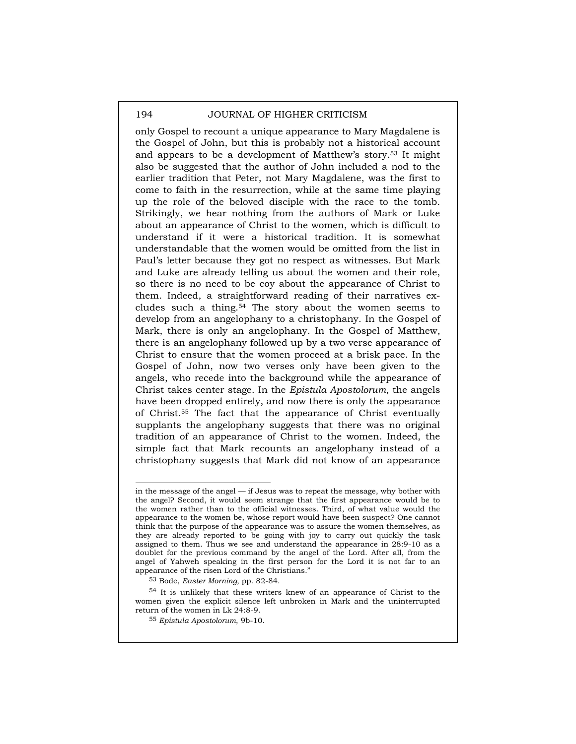only Gospel to recount a unique appearance to Mary Magdalene is the Gospel of John, but this is probably not a historical account and appears to be a development of Matthew's story.[53](#page-19-0) It might also be suggested that the author of John included a nod to the earlier tradition that Peter, not Mary Magdalene, was the first to come to faith in the resurrection, while at the same time playing up the role of the beloved disciple with the race to the tomb. Strikingly, we hear nothing from the authors of Mark or Luke about an appearance of Christ to the women, which is difficult to understand if it were a historical tradition. It is somewhat understandable that the women would be omitted from the list in Paul's letter because they got no respect as witnesses. But Mark and Luke are already telling us about the women and their role, so there is no need to be coy about the appearance of Christ to them. Indeed, a straightforward reading of their narratives excludes such a thing[.54](#page-19-1) The story about the women seems to develop from an angelophany to a christophany. In the Gospel of Mark, there is only an angelophany. In the Gospel of Matthew, there is an angelophany followed up by a two verse appearance of Christ to ensure that the women proceed at a brisk pace. In the Gospel of John, now two verses only have been given to the angels, who recede into the background while the appearance of Christ takes center stage. In the *Epistula Apostolorum*, the angels have been dropped entirely, and now there is only the appearance of Christ.[55](#page-19-2) The fact that the appearance of Christ eventually supplants the angelophany suggests that there was no original tradition of an appearance of Christ to the women. Indeed, the simple fact that Mark recounts an angelophany instead of a christophany suggests that Mark did not know of an appearance

in the message of the angel — if Jesus was to repeat the message, why bother with the angel? Second, it would seem strange that the first appearance would be to the women rather than to the official witnesses. Third, of what value would the appearance to the women be, whose report would have been suspect? One cannot think that the purpose of the appearance was to assure the women themselves, as they are already reported to be going with joy to carry out quickly the task assigned to them. Thus we see and understand the appearance in 28:9-10 as a doublet for the previous command by the angel of the Lord. After all, from the angel of Yahweh speaking in the first person for the Lord it is not far to an appearance of the risen Lord of the Christians."

<span id="page-19-1"></span><span id="page-19-0"></span><sup>53</sup> Bode, *Easter Morning*, pp. 82-84.

<sup>54</sup> It is unlikely that these writers knew of an appearance of Christ to the women given the explicit silence left unbroken in Mark and the uninterrupted return of the women in Lk 24:8-9.

<span id="page-19-2"></span><sup>55</sup> *Epistula Apostolorum*, 9b-10.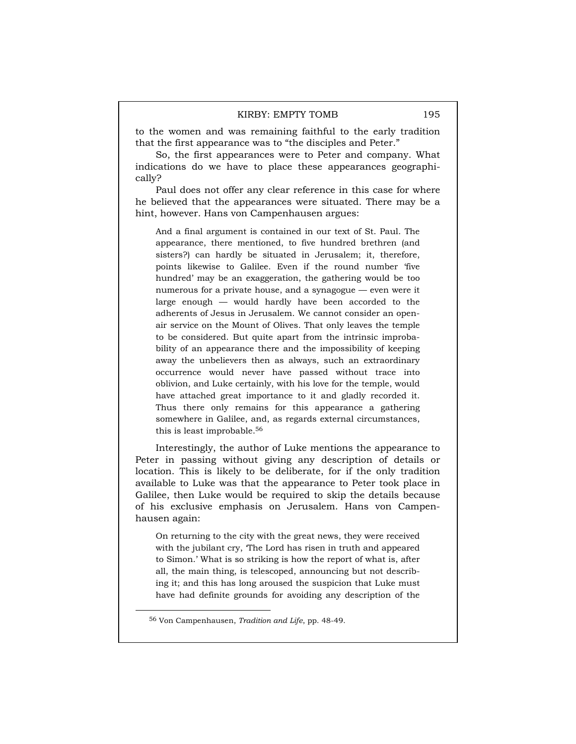to the women and was remaining faithful to the early tradition that the first appearance was to "the disciples and Peter."

So, the first appearances were to Peter and company. What indications do we have to place these appearances geographically?

Paul does not offer any clear reference in this case for where he believed that the appearances were situated. There may be a hint, however. Hans von Campenhausen argues:

And a final argument is contained in our text of St. Paul. The appearance, there mentioned, to five hundred brethren (and sisters?) can hardly be situated in Jerusalem; it, therefore, points likewise to Galilee. Even if the round number 'five hundred' may be an exaggeration, the gathering would be too numerous for a private house, and a synagogue — even were it large enough — would hardly have been accorded to the adherents of Jesus in Jerusalem. We cannot consider an openair service on the Mount of Olives. That only leaves the temple to be considered. But quite apart from the intrinsic improbability of an appearance there and the impossibility of keeping away the unbelievers then as always, such an extraordinary occurrence would never have passed without trace into oblivion, and Luke certainly, with his love for the temple, would have attached great importance to it and gladly recorded it. Thus there only remains for this appearance a gathering somewhere in Galilee, and, as regards external circumstances, this is least improbable.[56](#page-20-0)

Interestingly, the author of Luke mentions the appearance to Peter in passing without giving any description of details or location. This is likely to be deliberate, for if the only tradition available to Luke was that the appearance to Peter took place in Galilee, then Luke would be required to skip the details because of his exclusive emphasis on Jerusalem. Hans von Campenhausen again:

On returning to the city with the great news, they were received with the jubilant cry, 'The Lord has risen in truth and appeared to Simon.' What is so striking is how the report of what is, after all, the main thing, is telescoped, announcing but not describing it; and this has long aroused the suspicion that Luke must have had definite grounds for avoiding any description of the

<span id="page-20-0"></span> <sup>56</sup> Von Campenhausen, *Tradition and Life*, pp. 48-49.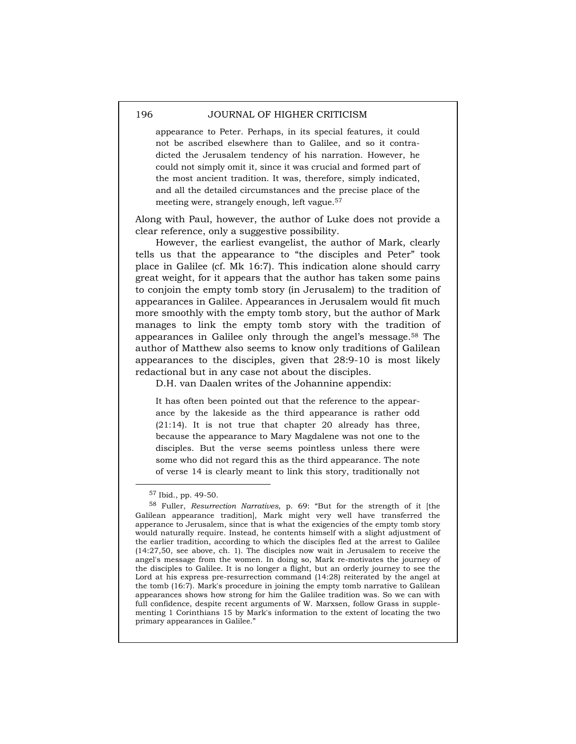appearance to Peter. Perhaps, in its special features, it could not be ascribed elsewhere than to Galilee, and so it contradicted the Jerusalem tendency of his narration. However, he could not simply omit it, since it was crucial and formed part of the most ancient tradition. It was, therefore, simply indicated, and all the detailed circumstances and the precise place of the meeting were, strangely enough, left vague.[57](#page-21-0) 

Along with Paul, however, the author of Luke does not provide a clear reference, only a suggestive possibility.

However, the earliest evangelist, the author of Mark, clearly tells us that the appearance to "the disciples and Peter" took place in Galilee (cf. Mk 16:7). This indication alone should carry great weight, for it appears that the author has taken some pains to conjoin the empty tomb story (in Jerusalem) to the tradition of appearances in Galilee. Appearances in Jerusalem would fit much more smoothly with the empty tomb story, but the author of Mark manages to link the empty tomb story with the tradition of appearances in Galilee only through the angel's message[.58](#page-21-1) The author of Matthew also seems to know only traditions of Galilean appearances to the disciples, given that 28:9-10 is most likely redactional but in any case not about the disciples.

D.H. van Daalen writes of the Johannine appendix:

It has often been pointed out that the reference to the appearance by the lakeside as the third appearance is rather odd (21:14). It is not true that chapter 20 already has three, because the appearance to Mary Magdalene was not one to the disciples. But the verse seems pointless unless there were some who did not regard this as the third appearance. The note of verse 14 is clearly meant to link this story, traditionally not

<span id="page-21-1"></span><span id="page-21-0"></span> <sup>57</sup> Ibid., pp. 49-50.

<sup>58</sup> Fuller, *Resurrection Narratives*, p. 69: "But for the strength of it [the Galilean appearance tradition], Mark might very well have transferred the apperance to Jerusalem, since that is what the exigencies of the empty tomb story would naturally require. Instead, he contents himself with a slight adjustment of the earlier tradition, according to which the disciples fled at the arrest to Galilee (14:27,50, see above, ch. 1). The disciples now wait in Jerusalem to receive the angel's message from the women. In doing so, Mark re-motivates the journey of the disciples to Galilee. It is no longer a flight, but an orderly journey to see the Lord at his express pre-resurrection command (14:28) reiterated by the angel at the tomb (16:7). Mark's procedure in joining the empty tomb narrative to Galilean appearances shows how strong for him the Galilee tradition was. So we can with full confidence, despite recent arguments of W. Marxsen, follow Grass in supplementing 1 Corinthians 15 by Mark's information to the extent of locating the two primary appearances in Galilee."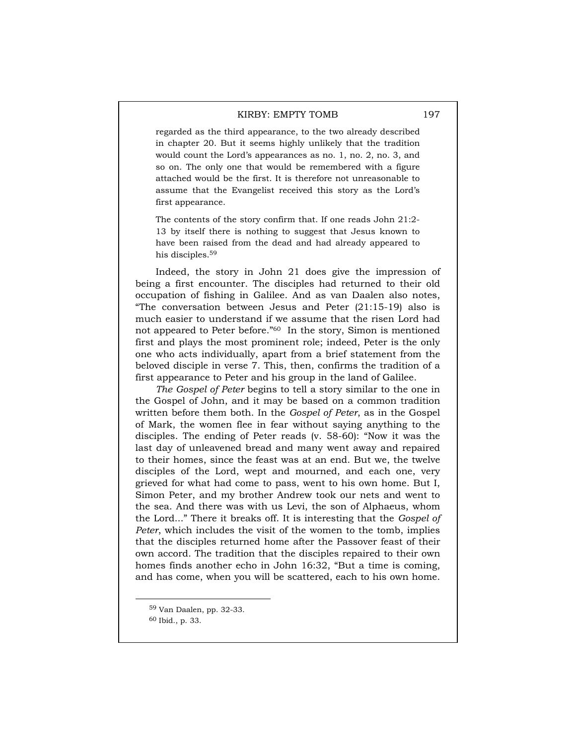regarded as the third appearance, to the two already described in chapter 20. But it seems highly unlikely that the tradition would count the Lord's appearances as no. 1, no. 2, no. 3, and so on. The only one that would be remembered with a figure attached would be the first. It is therefore not unreasonable to assume that the Evangelist received this story as the Lord's first appearance.

The contents of the story confirm that. If one reads John 21:2- 13 by itself there is nothing to suggest that Jesus known to have been raised from the dead and had already appeared to his disciples.[59](#page-22-0) 

Indeed, the story in John 21 does give the impression of being a first encounter. The disciples had returned to their old occupation of fishing in Galilee. And as van Daalen also notes, "The conversation between Jesus and Peter (21:15-19) also is much easier to understand if we assume that the risen Lord had not appeared to Peter before."[60](#page-22-1) In the story, Simon is mentioned first and plays the most prominent role; indeed, Peter is the only one who acts individually, apart from a brief statement from the beloved disciple in verse 7. This, then, confirms the tradition of a first appearance to Peter and his group in the land of Galilee.

*The Gospel of Peter* begins to tell a story similar to the one in the Gospel of John, and it may be based on a common tradition written before them both. In the *Gospel of Peter*, as in the Gospel of Mark, the women flee in fear without saying anything to the disciples. The ending of Peter reads (v. 58-60): "Now it was the last day of unleavened bread and many went away and repaired to their homes, since the feast was at an end. But we, the twelve disciples of the Lord, wept and mourned, and each one, very grieved for what had come to pass, went to his own home. But I, Simon Peter, and my brother Andrew took our nets and went to the sea. And there was with us Levi, the son of Alphaeus, whom the Lord..." There it breaks off. It is interesting that the *Gospel of Peter*, which includes the visit of the women to the tomb, implies that the disciples returned home after the Passover feast of their own accord. The tradition that the disciples repaired to their own homes finds another echo in John 16:32, "But a time is coming, and has come, when you will be scattered, each to his own home.

<span id="page-22-0"></span> <sup>59</sup> Van Daalen, pp. 32-33.

<span id="page-22-1"></span><sup>60</sup> Ibid., p. 33.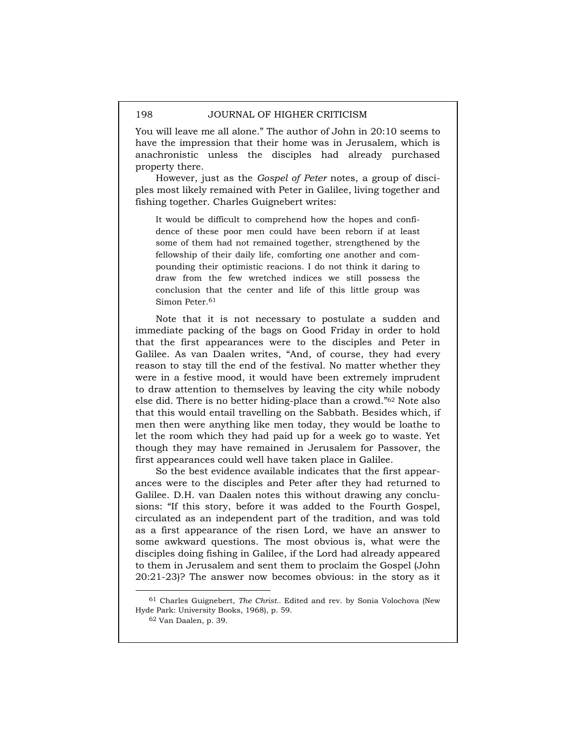You will leave me all alone." The author of John in 20:10 seems to have the impression that their home was in Jerusalem, which is anachronistic unless the disciples had already purchased property there.

However, just as the *Gospel of Peter* notes, a group of disciples most likely remained with Peter in Galilee, living together and fishing together. Charles Guignebert writes:

It would be difficult to comprehend how the hopes and confidence of these poor men could have been reborn if at least some of them had not remained together, strengthened by the fellowship of their daily life, comforting one another and compounding their optimistic reacions. I do not think it daring to draw from the few wretched indices we still possess the conclusion that the center and life of this little group was Simon Peter.<sup>61</sup>

Note that it is not necessary to postulate a sudden and immediate packing of the bags on Good Friday in order to hold that the first appearances were to the disciples and Peter in Galilee. As van Daalen writes, "And, of course, they had every reason to stay till the end of the festival. No matter whether they were in a festive mood, it would have been extremely imprudent to draw attention to themselves by leaving the city while nobody else did. There is no better hiding-place than a crowd.["62](#page-23-1) Note also that this would entail travelling on the Sabbath. Besides which, if men then were anything like men today, they would be loathe to let the room which they had paid up for a week go to waste. Yet though they may have remained in Jerusalem for Passover, the first appearances could well have taken place in Galilee.

So the best evidence available indicates that the first appearances were to the disciples and Peter after they had returned to Galilee. D.H. van Daalen notes this without drawing any conclusions: "If this story, before it was added to the Fourth Gospel, circulated as an independent part of the tradition, and was told as a first appearance of the risen Lord, we have an answer to some awkward questions. The most obvious is, what were the disciples doing fishing in Galilee, if the Lord had already appeared to them in Jerusalem and sent them to proclaim the Gospel (John 20:21-23)? The answer now becomes obvious: in the story as it

<span id="page-23-0"></span> <sup>61</sup> Charles Guignebert, *The Christ..* Edited and rev. by Sonia Volochova (New Hyde Park: University Books, 1968), p. 59.

<span id="page-23-1"></span><sup>62</sup> Van Daalen, p. 39.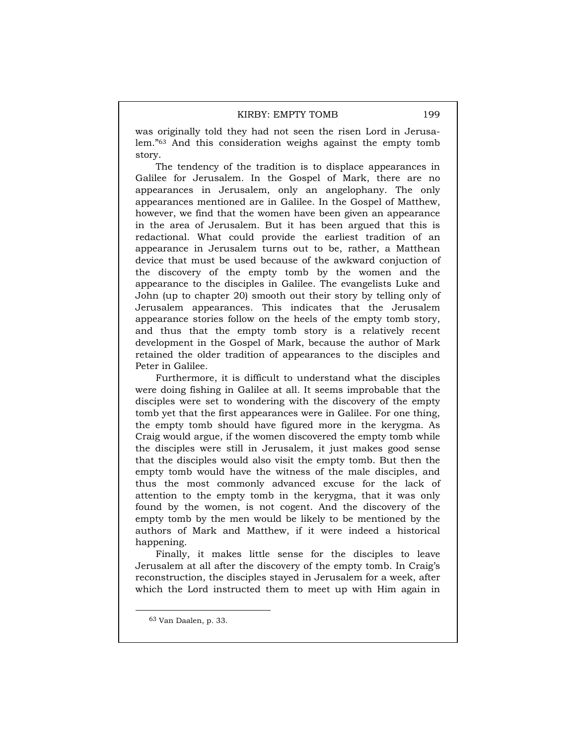was originally told they had not seen the risen Lord in Jerusalem."[63](#page-24-0) And this consideration weighs against the empty tomb story.

The tendency of the tradition is to displace appearances in Galilee for Jerusalem. In the Gospel of Mark, there are no appearances in Jerusalem, only an angelophany. The only appearances mentioned are in Galilee. In the Gospel of Matthew, however, we find that the women have been given an appearance in the area of Jerusalem. But it has been argued that this is redactional. What could provide the earliest tradition of an appearance in Jerusalem turns out to be, rather, a Matthean device that must be used because of the awkward conjuction of the discovery of the empty tomb by the women and the appearance to the disciples in Galilee. The evangelists Luke and John (up to chapter 20) smooth out their story by telling only of Jerusalem appearances. This indicates that the Jerusalem appearance stories follow on the heels of the empty tomb story, and thus that the empty tomb story is a relatively recent development in the Gospel of Mark, because the author of Mark retained the older tradition of appearances to the disciples and Peter in Galilee.

Furthermore, it is difficult to understand what the disciples were doing fishing in Galilee at all. It seems improbable that the disciples were set to wondering with the discovery of the empty tomb yet that the first appearances were in Galilee. For one thing, the empty tomb should have figured more in the kerygma. As Craig would argue, if the women discovered the empty tomb while the disciples were still in Jerusalem, it just makes good sense that the disciples would also visit the empty tomb. But then the empty tomb would have the witness of the male disciples, and thus the most commonly advanced excuse for the lack of attention to the empty tomb in the kerygma, that it was only found by the women, is not cogent. And the discovery of the empty tomb by the men would be likely to be mentioned by the authors of Mark and Matthew, if it were indeed a historical happening.

Finally, it makes little sense for the disciples to leave Jerusalem at all after the discovery of the empty tomb. In Craig's reconstruction, the disciples stayed in Jerusalem for a week, after which the Lord instructed them to meet up with Him again in

<span id="page-24-0"></span> <sup>63</sup> Van Daalen, p. 33.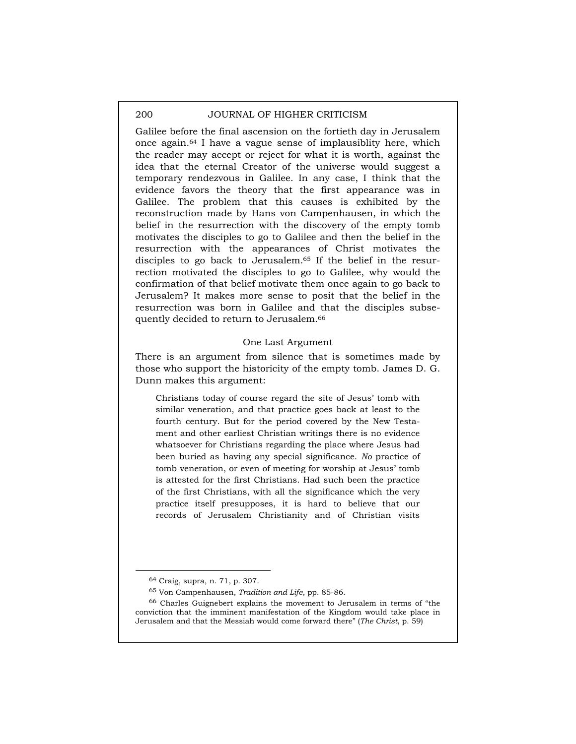Galilee before the final ascension on the fortieth day in Jerusalem once again[.64](#page-25-0) I have a vague sense of implausiblity here, which the reader may accept or reject for what it is worth, against the idea that the eternal Creator of the universe would suggest a temporary rendezvous in Galilee. In any case, I think that the evidence favors the theory that the first appearance was in Galilee. The problem that this causes is exhibited by the reconstruction made by Hans von Campenhausen, in which the belief in the resurrection with the discovery of the empty tomb motivates the disciples to go to Galilee and then the belief in the resurrection with the appearances of Christ motivates the disciples to go back to Jerusalem.<sup>65</sup> If the belief in the resurrection motivated the disciples to go to Galilee, why would the confirmation of that belief motivate them once again to go back to Jerusalem? It makes more sense to posit that the belief in the resurrection was born in Galilee and that the disciples subsequently decided to return to Jerusalem[.66](#page-25-2)

#### One Last Argument

There is an argument from silence that is sometimes made by those who support the historicity of the empty tomb. James D. G. Dunn makes this argument:

Christians today of course regard the site of Jesus' tomb with similar veneration, and that practice goes back at least to the fourth century. But for the period covered by the New Testament and other earliest Christian writings there is no evidence whatsoever for Christians regarding the place where Jesus had been buried as having any special significance. *No* practice of tomb veneration, or even of meeting for worship at Jesus' tomb is attested for the first Christians. Had such been the practice of the first Christians, with all the significance which the very practice itself presupposes, it is hard to believe that our records of Jerusalem Christianity and of Christian visits

<span id="page-25-0"></span> <sup>64</sup> Craig, supra, n. 71, p. 307.

<span id="page-25-2"></span><span id="page-25-1"></span><sup>65</sup> Von Campenhausen, *Tradition and Life*, pp. 85-86.

<sup>66</sup> Charles Guignebert explains the movement to Jerusalem in terms of "the conviction that the imminent manifestation of the Kingdom would take place in Jerusalem and that the Messiah would come forward there" (*The Christ*, p. 59)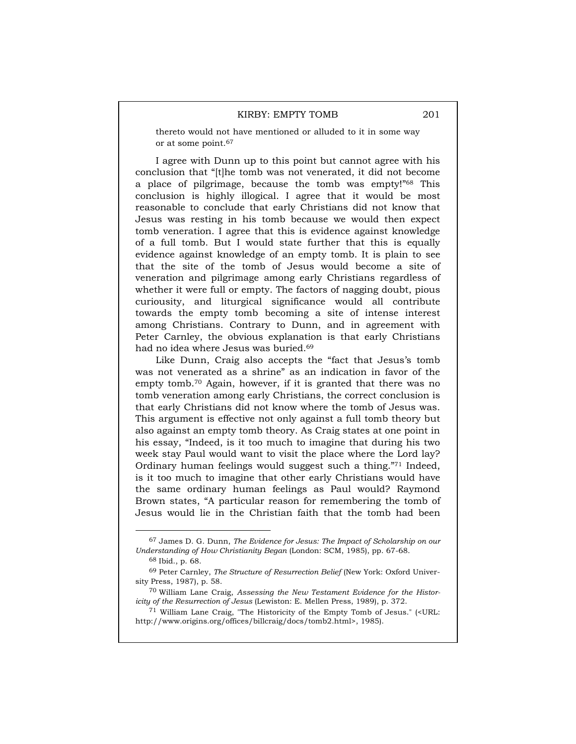thereto would not have mentioned or alluded to it in some way or at some point[.67](#page-26-0)

I agree with Dunn up to this point but cannot agree with his conclusion that "[t]he tomb was not venerated, it did not become a place of pilgrimage, because the tomb was empty!"[68](#page-26-1) This conclusion is highly illogical. I agree that it would be most reasonable to conclude that early Christians did not know that Jesus was resting in his tomb because we would then expect tomb veneration. I agree that this is evidence against knowledge of a full tomb. But I would state further that this is equally evidence against knowledge of an empty tomb. It is plain to see that the site of the tomb of Jesus would become a site of veneration and pilgrimage among early Christians regardless of whether it were full or empty. The factors of nagging doubt, pious curiousity, and liturgical significance would all contribute towards the empty tomb becoming a site of intense interest among Christians. Contrary to Dunn, and in agreement with Peter Carnley, the obvious explanation is that early Christians had no idea where Jesus was buried[.69](#page-26-2)

Like Dunn, Craig also accepts the "fact that Jesus's tomb was not venerated as a shrine" as an indication in favor of the empty tomb.[70](#page-26-3) Again, however, if it is granted that there was no tomb veneration among early Christians, the correct conclusion is that early Christians did not know where the tomb of Jesus was. This argument is effective not only against a full tomb theory but also against an empty tomb theory. As Craig states at one point in his essay, "Indeed, is it too much to imagine that during his two week stay Paul would want to visit the place where the Lord lay? Ordinary human feelings would suggest such a thing."[71](#page-26-4) Indeed, is it too much to imagine that other early Christians would have the same ordinary human feelings as Paul would? Raymond Brown states, "A particular reason for remembering the tomb of Jesus would lie in the Christian faith that the tomb had been

<span id="page-26-0"></span> <sup>67</sup> James D. G. Dunn, *The Evidence for Jesus: The Impact of Scholarship on our Understanding of How Christianity Began* (London: SCM, 1985), pp. 67-68.

<span id="page-26-2"></span><span id="page-26-1"></span><sup>68</sup> Ibid., p. 68.

<sup>69</sup> Peter Carnley, *The Structure of Resurrection Belief* (New York: Oxford University Press, 1987), p. 58.

<span id="page-26-3"></span><sup>70</sup> William Lane Craig, *Assessing the New Testament Evidence for the Historicity of the Resurrection of Jesus* (Lewiston: E. Mellen Press, 1989), p. 372.

<span id="page-26-4"></span><sup>71</sup> William Lane Craig, "The Historicity of the Empty Tomb of Jesus." (<URL: http://www.origins.org/offices/billcraig/docs/tomb2.html>, 1985).